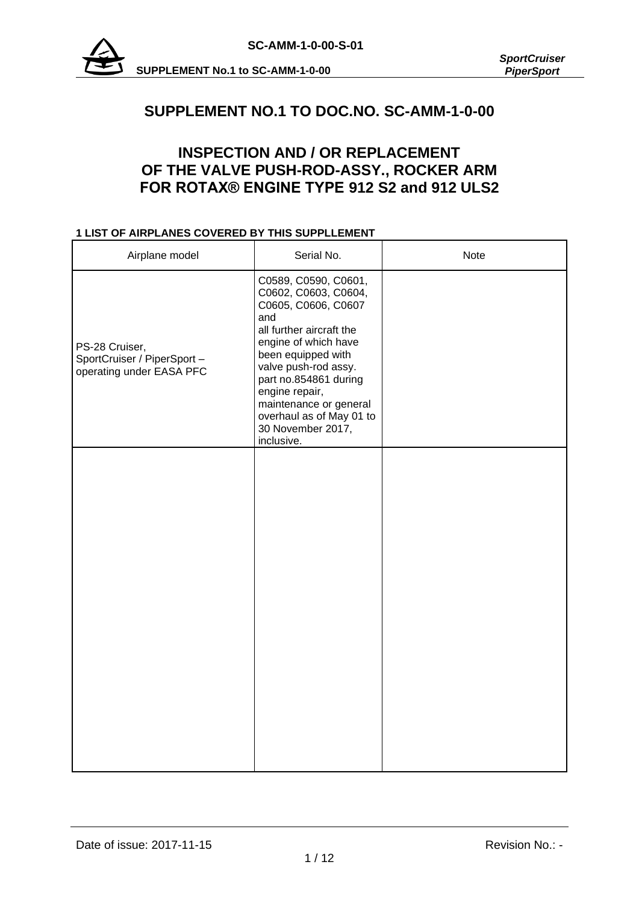

# **SUPPLEMENT NO.1 TO DOC.NO. SC-AMM-1-0-00**

# **INSPECTION AND / OR REPLACEMENT OF THE VALVE PUSH-ROD-ASSY., ROCKER ARM FOR ROTAX® ENGINE TYPE 912 S2 and 912 ULS2**

### **1 LIST OF AIRPLANES COVERED BY THIS SUPPLLEMENT**

| Airplane model                                                            | Serial No.                                                                                                                                                                                                                                                                                                       | <b>Note</b> |
|---------------------------------------------------------------------------|------------------------------------------------------------------------------------------------------------------------------------------------------------------------------------------------------------------------------------------------------------------------------------------------------------------|-------------|
| PS-28 Cruiser,<br>SportCruiser / PiperSport -<br>operating under EASA PFC | C0589, C0590, C0601,<br>C0602, C0603, C0604,<br>C0605, C0606, C0607<br>and<br>all further aircraft the<br>engine of which have<br>been equipped with<br>valve push-rod assy.<br>part no.854861 during<br>engine repair,<br>maintenance or general<br>overhaul as of May 01 to<br>30 November 2017,<br>inclusive. |             |
|                                                                           |                                                                                                                                                                                                                                                                                                                  |             |
|                                                                           |                                                                                                                                                                                                                                                                                                                  |             |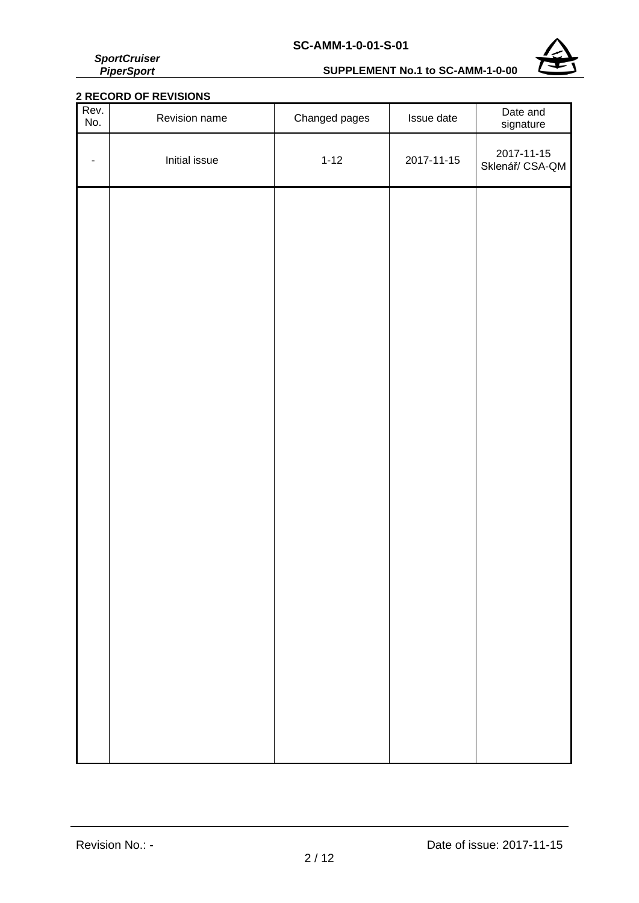*SportCruiser PiperSport*

# **SUPPLEMENT No.1 to SC-AMM-1-0-00**



## **2 RECORD OF REVISIONS**

| Rev.<br>No. | Revision name | Changed pages | Issue date | Date and<br>signature         |
|-------------|---------------|---------------|------------|-------------------------------|
| ۰           | Initial issue | $1 - 12$      | 2017-11-15 | 2017-11-15<br>Sklenář/ CSA-QM |
|             |               |               |            |                               |
|             |               |               |            |                               |
|             |               |               |            |                               |
|             |               |               |            |                               |
|             |               |               |            |                               |
|             |               |               |            |                               |
|             |               |               |            |                               |
|             |               |               |            |                               |
|             |               |               |            |                               |
|             |               |               |            |                               |
|             |               |               |            |                               |
|             |               |               |            |                               |
|             |               |               |            |                               |
|             |               |               |            |                               |
|             |               |               |            |                               |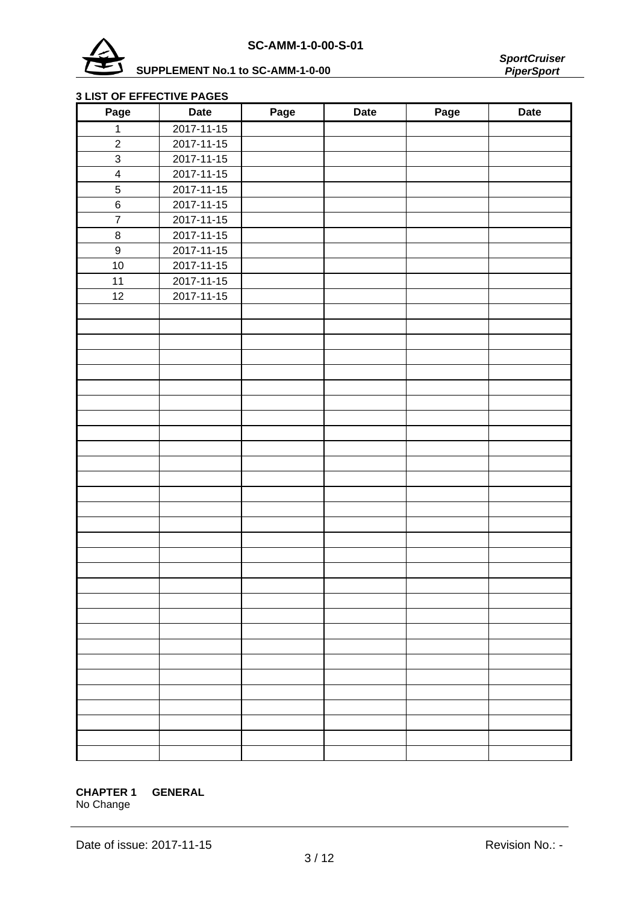



### **3 LIST OF EFFECTIVE PAGES**

| Page                    | <b>Date</b> | Page | <b>Date</b> | Page | <b>Date</b> |
|-------------------------|-------------|------|-------------|------|-------------|
| $\mathbf 1$             | 2017-11-15  |      |             |      |             |
| $\boldsymbol{2}$        | 2017-11-15  |      |             |      |             |
| $\overline{3}$          | 2017-11-15  |      |             |      |             |
| $\overline{\mathbf{4}}$ | 2017-11-15  |      |             |      |             |
| $\overline{5}$          | 2017-11-15  |      |             |      |             |
| $\,6\,$                 | 2017-11-15  |      |             |      |             |
| $\overline{7}$          | 2017-11-15  |      |             |      |             |
| $\bf 8$                 | 2017-11-15  |      |             |      |             |
| $\boldsymbol{9}$        | 2017-11-15  |      |             |      |             |
| 10                      | 2017-11-15  |      |             |      |             |
| 11                      | 2017-11-15  |      |             |      |             |
| 12                      | 2017-11-15  |      |             |      |             |
|                         |             |      |             |      |             |
|                         |             |      |             |      |             |
|                         |             |      |             |      |             |
|                         |             |      |             |      |             |
|                         |             |      |             |      |             |
|                         |             |      |             |      |             |
|                         |             |      |             |      |             |
|                         |             |      |             |      |             |
|                         |             |      |             |      |             |
|                         |             |      |             |      |             |
|                         |             |      |             |      |             |
|                         |             |      |             |      |             |
|                         |             |      |             |      |             |
|                         |             |      |             |      |             |
|                         |             |      |             |      |             |
|                         |             |      |             |      |             |
|                         |             |      |             |      |             |
|                         |             |      |             |      |             |
|                         |             |      |             |      |             |
|                         |             |      |             |      |             |
|                         |             |      |             |      |             |
|                         |             |      |             |      |             |
|                         |             |      |             |      |             |
|                         |             |      |             |      |             |
|                         |             |      |             |      |             |
|                         |             |      |             |      |             |
|                         |             |      |             |      |             |
|                         |             |      |             |      |             |
|                         |             |      |             |      |             |
|                         |             |      |             |      |             |

## **CHAPTER 1 GENERAL**

No Change

Date of issue: 2017-11-15 Revision No.: -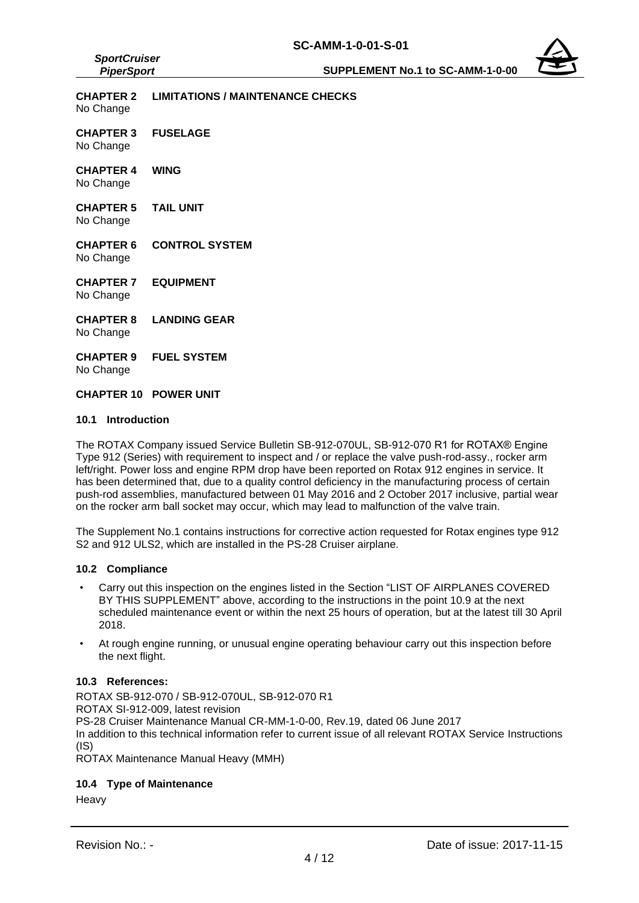**CHAPTER 2 LIMITATIONS / MAINTENANCE CHECKS** No Change **CHAPTER 3 FUSELAGE** No Change **CHAPTER 4 WING** No Change **CHAPTER 5 TAIL UNIT** No Change **CHAPTER 6 CONTROL SYSTEM** No Change **CHAPTER 7 EQUIPMENT** No Change **CHAPTER 8 LANDING GEAR** No Change **CHAPTER 9 FUEL SYSTEM** No Change **CHAPTER 10 POWER UNIT**

#### **10.1 Introduction**

*SportCruiser PiperSport*

The ROTAX Company issued Service Bulletin SB-912-070UL, SB-912-070 R1 for ROTAX® Engine Type 912 (Series) with requirement to inspect and / or replace the valve push-rod-assy., rocker arm left/right. Power loss and engine RPM drop have been reported on Rotax 912 engines in service. It has been determined that, due to a quality control deficiency in the manufacturing process of certain push-rod assemblies, manufactured between 01 May 2016 and 2 October 2017 inclusive, partial wear on the rocker arm ball socket may occur, which may lead to malfunction of the valve train.

The Supplement No.1 contains instructions for corrective action requested for Rotax engines type 912 S2 and 912 ULS2, which are installed in the PS-28 Cruiser airplane.

#### **10.2 Compliance**

- Carry out this inspection on the engines listed in the Section "LIST OF AIRPLANES COVERED BY THIS SUPPLEMENT" above, according to the instructions in the point 10.9 at the next scheduled maintenance event or within the next 25 hours of operation, but at the latest till 30 April 2018.
- At rough engine running, or unusual engine operating behaviour carry out this inspection before the next flight.

#### **10.3 References:**

ROTAX SB-912-070 / SB-912-070UL, SB-912-070 R1 ROTAX SI-912-009, latest revision PS-28 Cruiser Maintenance Manual CR-MM-1-0-00, Rev.19, dated 06 June 2017 In addition to this technical information refer to current issue of all relevant ROTAX Service Instructions (IS)

ROTAX Maintenance Manual Heavy (MMH)

#### **10.4 Type of Maintenance**

**Heavy**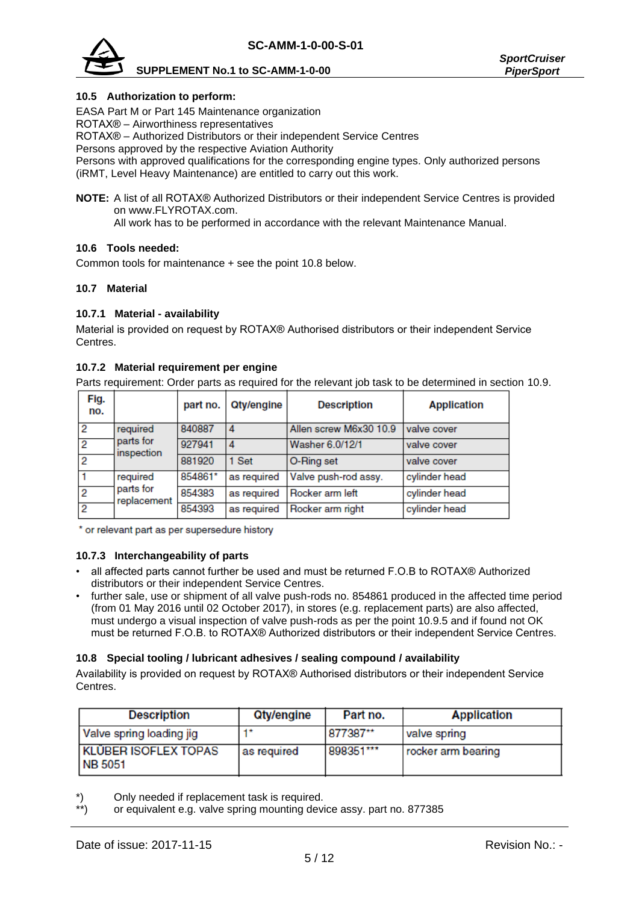

#### **10.5 Authorization to perform:**

EASA Part M or Part 145 Maintenance organization

ROTAX® – Airworthiness representatives

ROTAX® – Authorized Distributors or their independent Service Centres

Persons approved by the respective Aviation Authority

Persons with approved qualifications for the corresponding engine types. Only authorized persons (iRMT, Level Heavy Maintenance) are entitled to carry out this work.

**NOTE:** A list of all ROTAX® Authorized Distributors or their independent Service Centres is provided on [www.FLYROTAX.com.](http://www.flyrotax.com/)

All work has to be performed in accordance with the relevant Maintenance Manual.

#### **10.6 Tools needed:**

Common tools for maintenance + see the point 10.8 below.

#### **10.7 Material**

### **10.7.1 Material - availability**

Material is provided on request by ROTAX® Authorised distributors or their independent Service Centres.

#### **10.7.2 Material requirement per engine**

Parts requirement: Order parts as required for the relevant job task to be determined in section 10.9.

| Fig.<br>no. |                          | part no. | <b>Qty/engine</b> | <b>Description</b>     | <b>Application</b> |
|-------------|--------------------------|----------|-------------------|------------------------|--------------------|
| 2           | required                 | 840887   | 4                 | Allen screw M6x30 10.9 | valve cover        |
|             | parts for<br>inspection  | 927941   | 4                 | Washer 6.0/12/1        | valve cover        |
|             |                          | 881920   | 1 Set             | O-Ring set             | valve cover        |
|             | required                 | 854861*  | as required       | Valve push-rod assy.   | cylinder head      |
|             | parts for<br>replacement | 854383   | as required       | Rocker arm left        | cylinder head      |
|             |                          | 854393   | as required       | Rocker arm right       | cylinder head      |

\* or relevant part as per supersedure history

#### **10.7.3 Interchangeability of parts**

- all affected parts cannot further be used and must be returned F.O.B to ROTAX® Authorized distributors or their independent Service Centres.
- further sale, use or shipment of all valve push-rods no. 854861 produced in the affected time period (from 01 May 2016 until 02 October 2017), in stores (e.g. replacement parts) are also affected, must undergo a visual inspection of valve push-rods as per the point 10.9.5 and if found not OK must be returned F.O.B. to ROTAX® Authorized distributors or their independent Service Centres.

#### **10.8 Special tooling / lubricant adhesives / sealing compound / availability**

Availability is provided on request by ROTAX® Authorised distributors or their independent Service Centres.

| <b>Description</b>                            | <b>Qty/engine</b> | Part no.  | <b>Application</b> |
|-----------------------------------------------|-------------------|-----------|--------------------|
| Valve spring loading jig                      | 1*                | 877387**  | valve spring       |
| <b>KLÜBER ISOFLEX TOPAS</b><br><b>NB 5051</b> | as required       | 898351*** | rocker arm bearing |

\*) Only needed if replacement task is required.<br>\*\*) or equivalent e.g. valve spring mounting dev

or equivalent e.g. valve spring mounting device assy. part no. 877385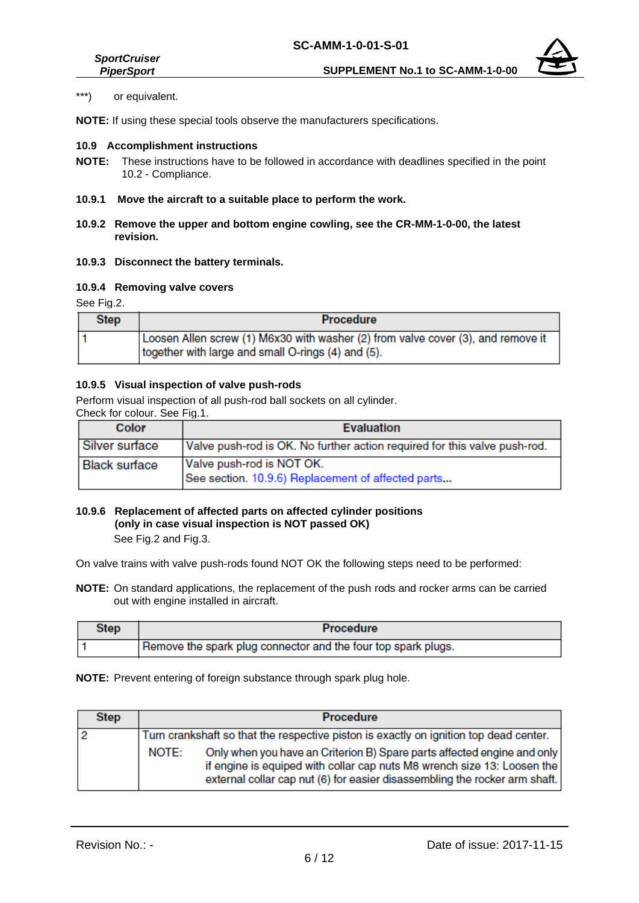*SportCruiser*

**NOTE:** If using these special tools observe the manufacturers specifications.

#### **10.9 Accomplishment instructions**

- **NOTE:** These instructions have to be followed in accordance with deadlines specified in the point 10.2 - Compliance.
- **10.9.1 Move the aircraft to a suitable place to perform the work.**
- **10.9.2 Remove the upper and bottom engine cowling, see the CR-MM-1-0-00, the latest revision.**
- **10.9.3 Disconnect the battery terminals.**

#### **10.9.4 Removing valve covers**

See Fig.2.

| <b>Step</b> | <b>Procedure</b>                                                                                                                       |
|-------------|----------------------------------------------------------------------------------------------------------------------------------------|
|             | Loosen Allen screw (1) M6x30 with washer (2) from valve cover (3), and remove it<br>together with large and small O-rings (4) and (5). |

#### **10.9.5 Visual inspection of valve push-rods**

Perform visual inspection of all push-rod ball sockets on all cylinder.

| Check for colour. See Fig.1. |  |
|------------------------------|--|
| Color                        |  |

| Color                | <b>Evaluation</b>                                                               |
|----------------------|---------------------------------------------------------------------------------|
| Silver surface       | Valve push-rod is OK. No further action required for this valve push-rod.       |
| <b>Black surface</b> | Valve push-rod is NOT OK.<br>See section. 10.9.6) Replacement of affected parts |
|                      |                                                                                 |

# **10.9.6 Replacement of affected parts on affected cylinder positions (only in case visual inspection is NOT passed OK)**

See Fig.2 and Fig.3.

On valve trains with valve push-rods found NOT OK the following steps need to be performed:

**NOTE:** On standard applications, the replacement of the push rods and rocker arms can be carried out with engine installed in aircraft.

| Step | <b>Procedure</b>                                              |
|------|---------------------------------------------------------------|
|      | Remove the spark plug connector and the four top spark plugs. |

#### **NOTE:** Prevent entering of foreign substance through spark plug hole.

| <b>Step</b> |       | <b>Procedure</b>                                                                                                                                                                                                                 |
|-------------|-------|----------------------------------------------------------------------------------------------------------------------------------------------------------------------------------------------------------------------------------|
|             |       | Turn crankshaft so that the respective piston is exactly on ignition top dead center.                                                                                                                                            |
|             | NOTE: | Only when you have an Criterion B) Spare parts affected engine and only<br>if engine is equiped with collar cap nuts M8 wrench size 13: Loosen the<br>external collar cap nut (6) for easier disassembling the rocker arm shaft. |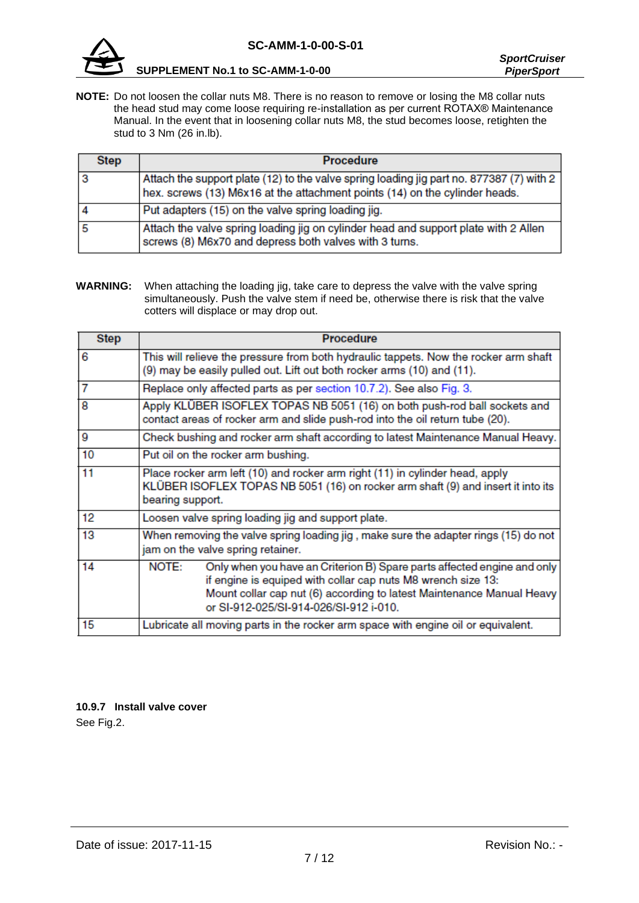

**SUPPLEMENT No.1 to SC-AMM-1-0-00** *PiperSport*

**NOTE:** Do not loosen the collar nuts M8. There is no reason to remove or losing the M8 collar nuts the head stud may come loose requiring re-installation as per current ROTAX® Maintenance Manual. In the event that in loosening collar nuts M8, the stud becomes loose, retighten the stud to 3 Nm (26 in.lb).

| <b>Step</b> | <b>Procedure</b>                                                                                                                                                        |
|-------------|-------------------------------------------------------------------------------------------------------------------------------------------------------------------------|
|             | Attach the support plate (12) to the valve spring loading jig part no. 877387 (7) with 2<br>hex. screws (13) M6x16 at the attachment points (14) on the cylinder heads. |
|             | Put adapters (15) on the valve spring loading jig.                                                                                                                      |
|             | Attach the valve spring loading jig on cylinder head and support plate with 2 Allen<br>screws (8) M6x70 and depress both valves with 3 turns.                           |

**WARNING:** When attaching the loading jig, take care to depress the valve with the valve spring simultaneously. Push the valve stem if need be, otherwise there is risk that the valve cotters will displace or may drop out.

| <b>Step</b> | <b>Procedure</b>                                                                                                                                                                                                                                                    |  |  |
|-------------|---------------------------------------------------------------------------------------------------------------------------------------------------------------------------------------------------------------------------------------------------------------------|--|--|
| 6           | This will relieve the pressure from both hydraulic tappets. Now the rocker arm shaft<br>(9) may be easily pulled out. Lift out both rocker arms (10) and (11).                                                                                                      |  |  |
| 7           | Replace only affected parts as per section 10.7.2). See also Fig. 3.                                                                                                                                                                                                |  |  |
| 8           | Apply KLÜBER ISOFLEX TOPAS NB 5051 (16) on both push-rod ball sockets and<br>contact areas of rocker arm and slide push-rod into the oil return tube (20).                                                                                                          |  |  |
| 9           | Check bushing and rocker arm shaft according to latest Maintenance Manual Heavy.                                                                                                                                                                                    |  |  |
| 10          | Put oil on the rocker arm bushing.                                                                                                                                                                                                                                  |  |  |
| 11          | Place rocker arm left (10) and rocker arm right (11) in cylinder head, apply<br>KLÜBER ISOFLEX TOPAS NB 5051 (16) on rocker arm shaft (9) and insert it into its<br>bearing support.                                                                                |  |  |
| 12          | Loosen valve spring loading jig and support plate.                                                                                                                                                                                                                  |  |  |
| 13          | When removing the valve spring loading jig , make sure the adapter rings (15) do not<br>jam on the valve spring retainer.                                                                                                                                           |  |  |
| 14          | NOTE:<br>Only when you have an Criterion B) Spare parts affected engine and only<br>if engine is equiped with collar cap nuts M8 wrench size 13:<br>Mount collar cap nut (6) according to latest Maintenance Manual Heavy<br>or SI-912-025/SI-914-026/SI-912 i-010. |  |  |
| 15          | Lubricate all moving parts in the rocker arm space with engine oil or equivalent.                                                                                                                                                                                   |  |  |

# **10.9.7 Install valve cover**

See Fig.2.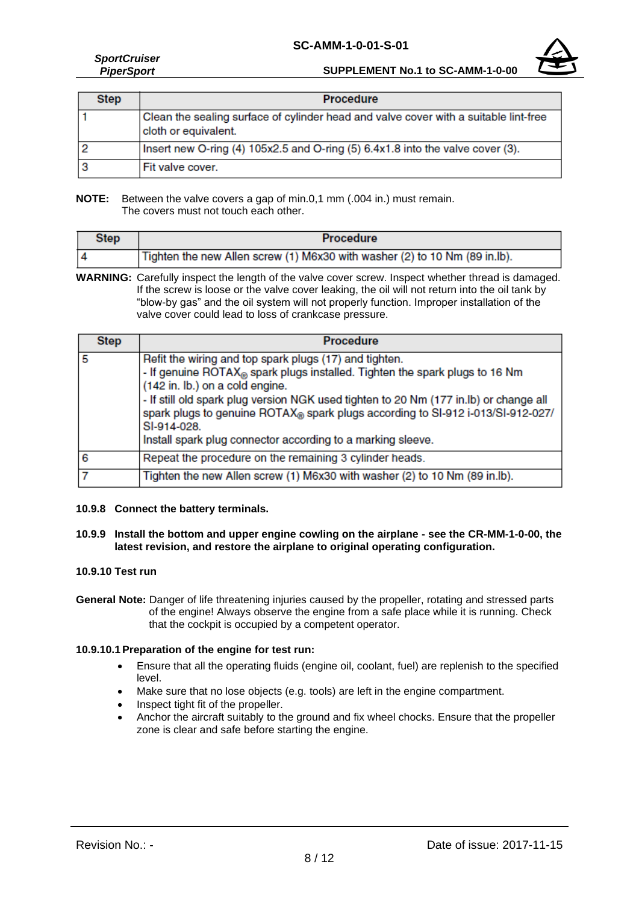#### **SC-AMM-1-0-01-S-01**



#### *SportCruiser PiperSport*

**SUPPLEMENT No.1 to SC-AMM-1-0-00**

| <b>Step</b> | <b>Procedure</b>                                                                                             |  |
|-------------|--------------------------------------------------------------------------------------------------------------|--|
|             | Clean the sealing surface of cylinder head and valve cover with a suitable lint-free<br>cloth or equivalent. |  |
|             | Insert new O-ring (4) 105x2.5 and O-ring (5) 6.4x1.8 into the valve cover (3).                               |  |
|             | Fit valve cover.                                                                                             |  |

**NOTE:** Between the valve covers a gap of min.0,1 mm (.004 in.) must remain. The covers must not touch each other.

| Step | <b>Procedure</b>                                                           |  |
|------|----------------------------------------------------------------------------|--|
|      | Tighten the new Allen screw (1) M6x30 with washer (2) to 10 Nm (89 in.lb). |  |

**WARNING:** Carefully inspect the length of the valve cover screw. Inspect whether thread is damaged. If the screw is loose or the valve cover leaking, the oil will not return into the oil tank by "blow-by gas" and the oil system will not properly function. Improper installation of the valve cover could lead to loss of crankcase pressure.

| <b>Step</b> | <b>Procedure</b>                                                                                                                                                                                                                                                                                                                                                                                                                   |  |
|-------------|------------------------------------------------------------------------------------------------------------------------------------------------------------------------------------------------------------------------------------------------------------------------------------------------------------------------------------------------------------------------------------------------------------------------------------|--|
| 5           | Refit the wiring and top spark plugs (17) and tighten.<br>- If genuine ROTAX® spark plugs installed. Tighten the spark plugs to 16 Nm<br>(142 in. lb.) on a cold engine.<br>- If still old spark plug version NGK used tighten to 20 Nm (177 in.lb) or change all<br>spark plugs to genuine ROTAX® spark plugs according to SI-912 i-013/SI-912-027/<br>SI-914-028.<br>Install spark plug connector according to a marking sleeve. |  |
| 6           | Repeat the procedure on the remaining 3 cylinder heads.                                                                                                                                                                                                                                                                                                                                                                            |  |
|             | Tighten the new Allen screw (1) M6x30 with washer (2) to 10 Nm (89 in.lb).                                                                                                                                                                                                                                                                                                                                                         |  |

#### **10.9.8 Connect the battery terminals.**

#### **10.9.9 Install the bottom and upper engine cowling on the airplane - see the CR-MM-1-0-00, the latest revision, and restore the airplane to original operating configuration.**

#### **10.9.10 Test run**

**General Note:** Danger of life threatening injuries caused by the propeller, rotating and stressed parts of the engine! Always observe the engine from a safe place while it is running. Check that the cockpit is occupied by a competent operator.

#### **10.9.10.1Preparation of the engine for test run:**

- Ensure that all the operating fluids (engine oil, coolant, fuel) are replenish to the specified level.
- Make sure that no lose objects (e.g. tools) are left in the engine compartment.
- Inspect tight fit of the propeller.
- Anchor the aircraft suitably to the ground and fix wheel chocks. Ensure that the propeller zone is clear and safe before starting the engine.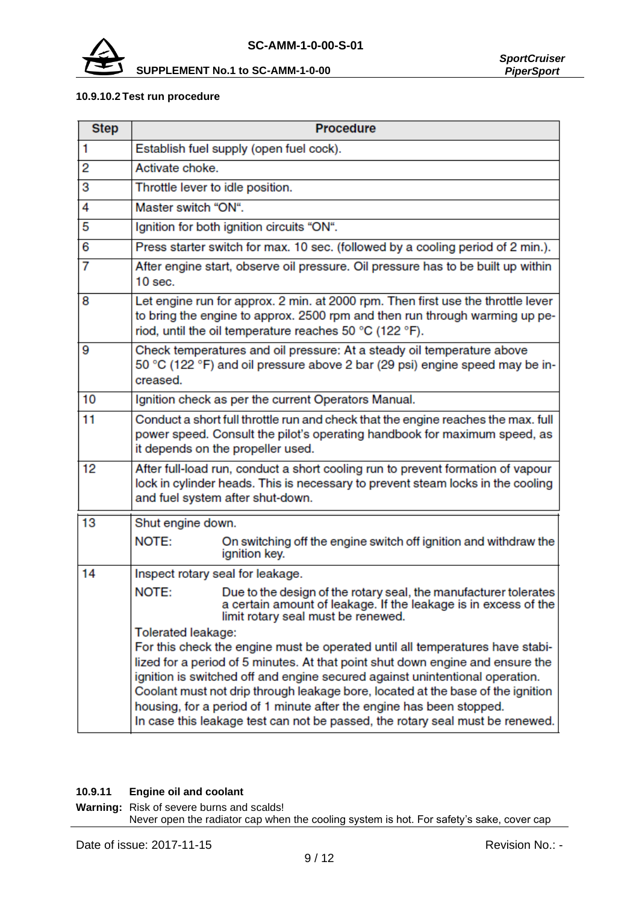

#### **10.9.10.2 Test run procedure**

| <b>Step</b>        | <b>Procedure</b>                                                                                                                                                                                                           |                                                                                                                                                                                                                                                                                                                                                                                                                                                                                             |  |
|--------------------|----------------------------------------------------------------------------------------------------------------------------------------------------------------------------------------------------------------------------|---------------------------------------------------------------------------------------------------------------------------------------------------------------------------------------------------------------------------------------------------------------------------------------------------------------------------------------------------------------------------------------------------------------------------------------------------------------------------------------------|--|
| 1                  | Establish fuel supply (open fuel cock).                                                                                                                                                                                    |                                                                                                                                                                                                                                                                                                                                                                                                                                                                                             |  |
| 2                  | Activate choke.                                                                                                                                                                                                            |                                                                                                                                                                                                                                                                                                                                                                                                                                                                                             |  |
| 3                  | Throttle lever to idle position.                                                                                                                                                                                           |                                                                                                                                                                                                                                                                                                                                                                                                                                                                                             |  |
| 4                  | Master switch "ON".                                                                                                                                                                                                        |                                                                                                                                                                                                                                                                                                                                                                                                                                                                                             |  |
| 5                  |                                                                                                                                                                                                                            | Ignition for both ignition circuits "ON".                                                                                                                                                                                                                                                                                                                                                                                                                                                   |  |
| 6                  | Press starter switch for max. 10 sec. (followed by a cooling period of 2 min.).                                                                                                                                            |                                                                                                                                                                                                                                                                                                                                                                                                                                                                                             |  |
| 7                  | After engine start, observe oil pressure. Oil pressure has to be built up within<br>$10$ sec.                                                                                                                              |                                                                                                                                                                                                                                                                                                                                                                                                                                                                                             |  |
| 8                  | Let engine run for approx. 2 min. at 2000 rpm. Then first use the throttle lever<br>to bring the engine to approx. 2500 rpm and then run through warming up pe-<br>riod, until the oil temperature reaches 50 °C (122 °F). |                                                                                                                                                                                                                                                                                                                                                                                                                                                                                             |  |
| 9                  | Check temperatures and oil pressure: At a steady oil temperature above<br>50 °C (122 °F) and oil pressure above 2 bar (29 psi) engine speed may be in-<br>creased.                                                         |                                                                                                                                                                                                                                                                                                                                                                                                                                                                                             |  |
| 10                 | Ignition check as per the current Operators Manual.                                                                                                                                                                        |                                                                                                                                                                                                                                                                                                                                                                                                                                                                                             |  |
| 11                 | Conduct a short full throttle run and check that the engine reaches the max. full<br>power speed. Consult the pilot's operating handbook for maximum speed, as<br>it depends on the propeller used.                        |                                                                                                                                                                                                                                                                                                                                                                                                                                                                                             |  |
| 12                 | After full-load run, conduct a short cooling run to prevent formation of vapour<br>lock in cylinder heads. This is necessary to prevent steam locks in the cooling<br>and fuel system after shut-down.                     |                                                                                                                                                                                                                                                                                                                                                                                                                                                                                             |  |
| 13                 | Shut engine down.                                                                                                                                                                                                          |                                                                                                                                                                                                                                                                                                                                                                                                                                                                                             |  |
|                    | NOTE:                                                                                                                                                                                                                      | On switching off the engine switch off ignition and withdraw the<br>ignition key.                                                                                                                                                                                                                                                                                                                                                                                                           |  |
| 14                 | Inspect rotary seal for leakage.                                                                                                                                                                                           |                                                                                                                                                                                                                                                                                                                                                                                                                                                                                             |  |
|                    | NOTE:                                                                                                                                                                                                                      | Due to the design of the rotary seal, the manufacturer tolerates<br>a certain amount of leakage. If the leakage is in excess of the<br>limit rotary seal must be renewed.                                                                                                                                                                                                                                                                                                                   |  |
| Tolerated leakage: |                                                                                                                                                                                                                            | For this check the engine must be operated until all temperatures have stabi-<br>lized for a period of 5 minutes. At that point shut down engine and ensure the<br>ignition is switched off and engine secured against unintentional operation.<br>Coolant must not drip through leakage bore, located at the base of the ignition<br>housing, for a period of 1 minute after the engine has been stopped.<br>In case this leakage test can not be passed, the rotary seal must be renewed. |  |

#### **10.9.11 Engine oil and coolant**

**Warning:** Risk of severe burns and scalds! Never open the radiator cap when the cooling system is hot. For safety's sake, cover cap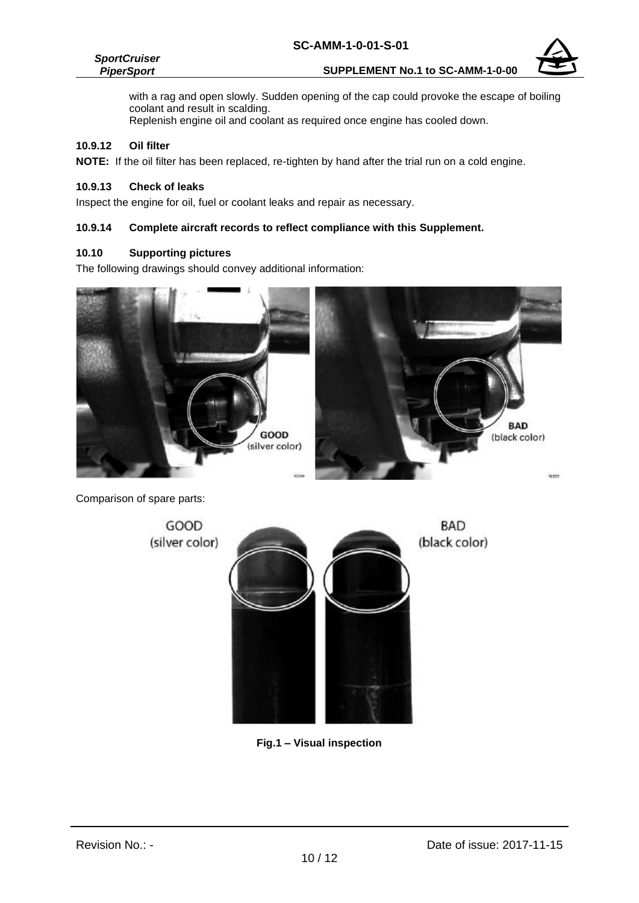#### *SportCruiser PiperSport*



with a rag and open slowly. Sudden opening of the cap could provoke the escape of boiling coolant and result in scalding. Replenish engine oil and coolant as required once engine has cooled down.

#### **10.9.12 Oil filter**

**NOTE:** If the oil filter has been replaced, re-tighten by hand after the trial run on a cold engine.

#### **10.9.13 Check of leaks**

Inspect the engine for oil, fuel or coolant leaks and repair as necessary.

#### **10.9.14 Complete aircraft records to reflect compliance with this Supplement.**

#### **10.10 Supporting pictures**

The following drawings should convey additional information:



Comparison of spare parts:

GOOD **BAD** (silver color) (black color)

**Fig.1 – Visual inspection**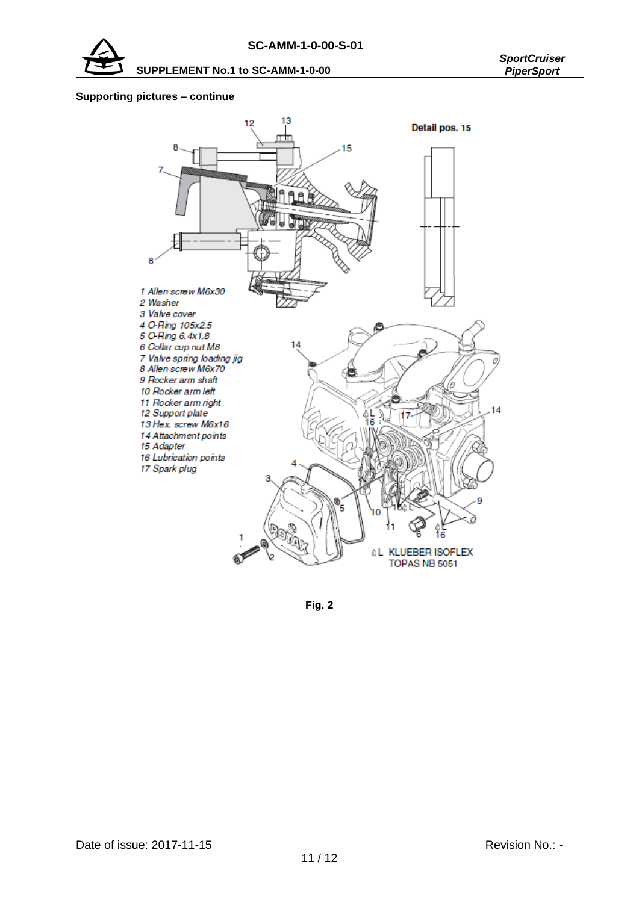

### **Supporting pictures – continue**



**Fig. 2**